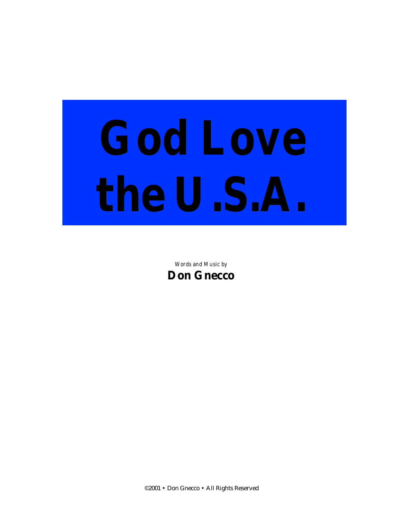## *God Love the U.S.A.*

*Words and Music by* **Don Gnecco**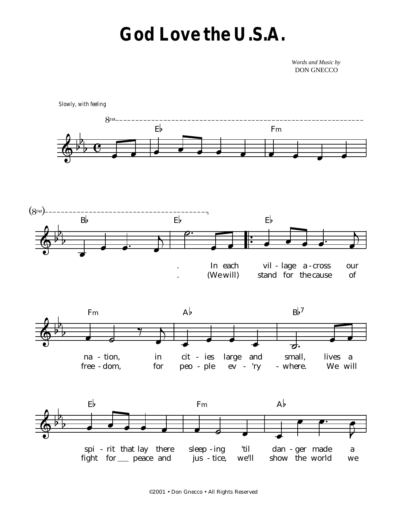## *God Love the U.S.A.*

*Words and Music by* DON GNECCO



©2001 • Don Gnecco • All Rights Reserved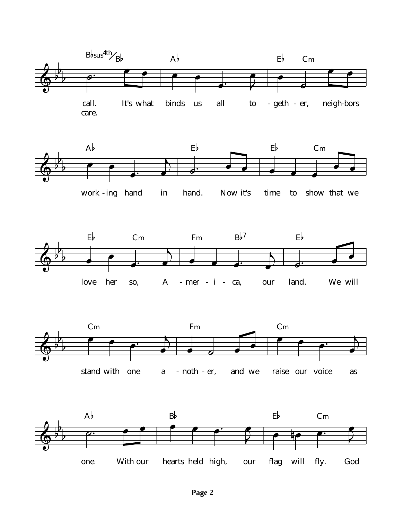